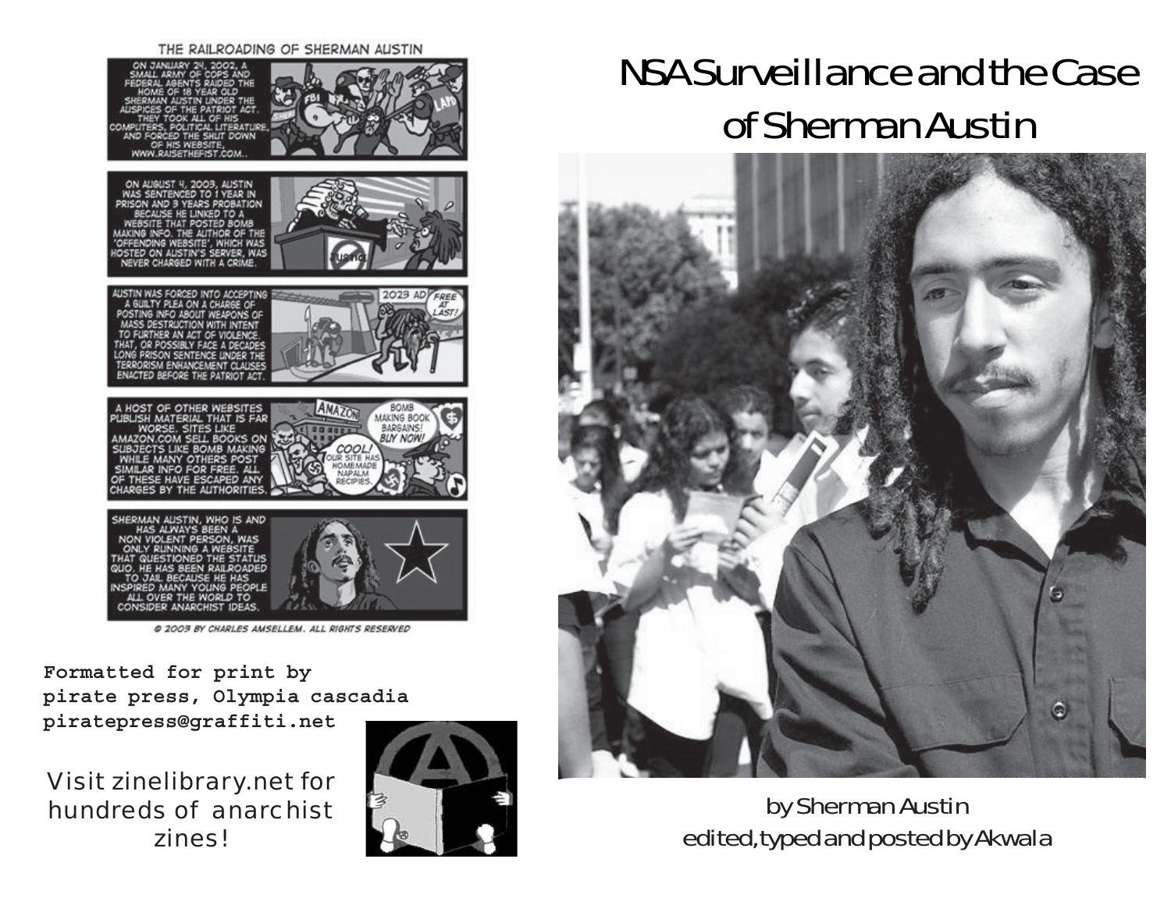#### THE RAILROADING OF SHERMAN AUSTIN



@ 2003 BY CHARLES AMSELLEM. ALL RIGHTS RESERVED

**Formatted for print by pirate press, Olympia cascadia piratepress@graffiti.net**

Visit zinelibrary.net for hundreds of anarchist zines!



# NSA Surveillance and the Case of Sherman Austin



by Sherman Austin edited, typed and posted by Akwala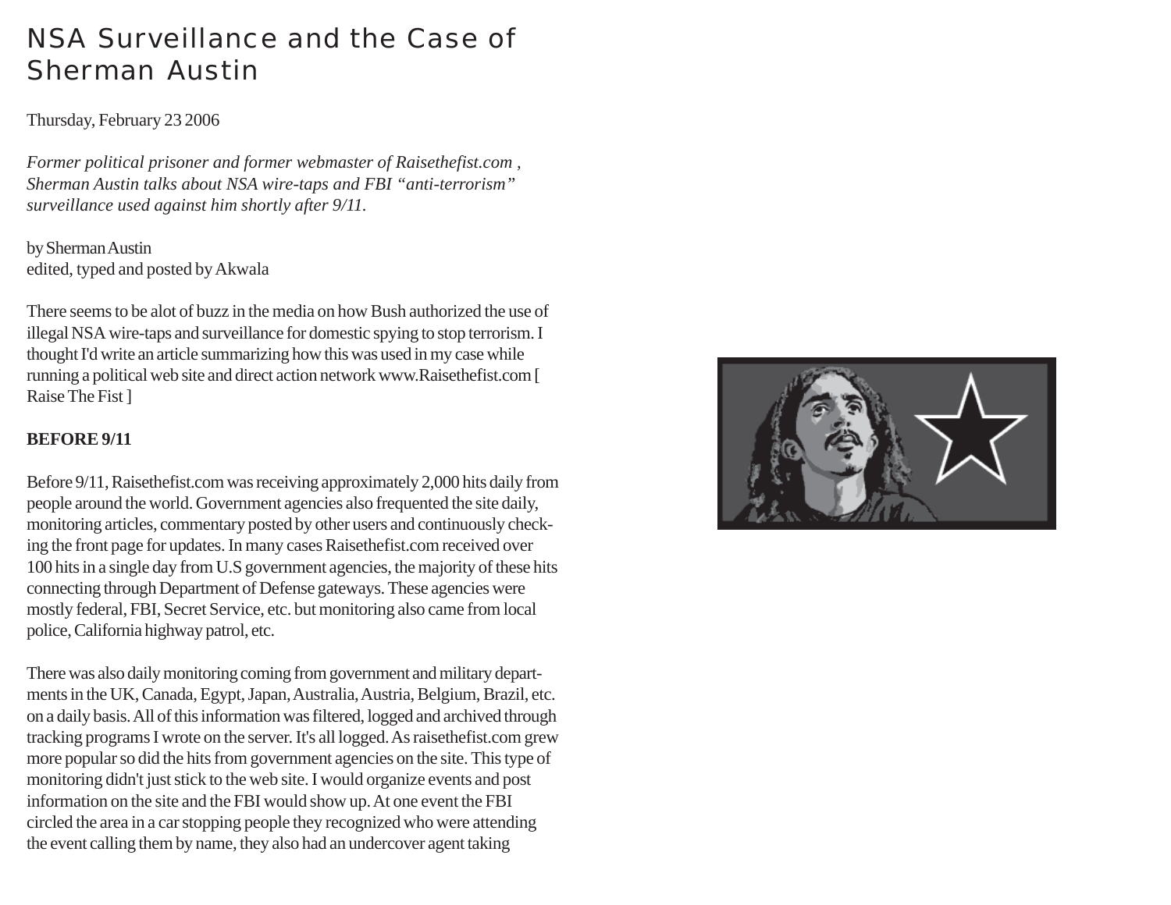# NSA Surveillance and the Case of Sherman Austin

#### Thursday, February 23 2006

*Former political prisoner and former webmaster of Raisethefist.com , Sherman Austin talks about NSA wire-taps and FBI "anti-terrorism" surveillance used against him shortly after 9/11.*

by Sherman Austin edited, typed and posted by Akwala

There seems to be alot of buzz in the media on how Bush authorized the use of illegal NSA wire-taps and surveillance for domestic spying to stop terrorism. I thought I'd write an article summarizing how this was used in my case while running a political web site and direct action network www.Raisethefist.com [ Raise The Fist ]

#### **BEFORE 9/11**

Before 9/11, Raisethefist.com was receiving approximately 2,000 hits daily from people around the world. Government agencies also frequented the site daily, monitoring articles, commentary posted by other users and continuously checking the front page for updates. In many cases Raisethefist.com received over 100 hits in a single day from U.S government agencies, the majority of these hits connecting through Department of Defense gateways. These agencies were mostly federal, FBI, Secret Service, etc. but monitoring also came from local police, California highway patrol, etc.

There was also daily monitoring coming from government and military departments in the UK, Canada, Egypt, Japan, Australia, Austria, Belgium, Brazil, etc. on a daily basis. All of this information was filtered, logged and archived through tracking programs I wrote on the server. It's all logged. As raisethefist.com grew more popular so did the hits from government agencies on the site. This type of monitoring didn't just stick to the web site. I would organize events and post information on the site and the FBI would show up. At one event the FBI circled the area in a car stopping people they recognized who were attending the event calling them by name, they also had an undercover agent taking

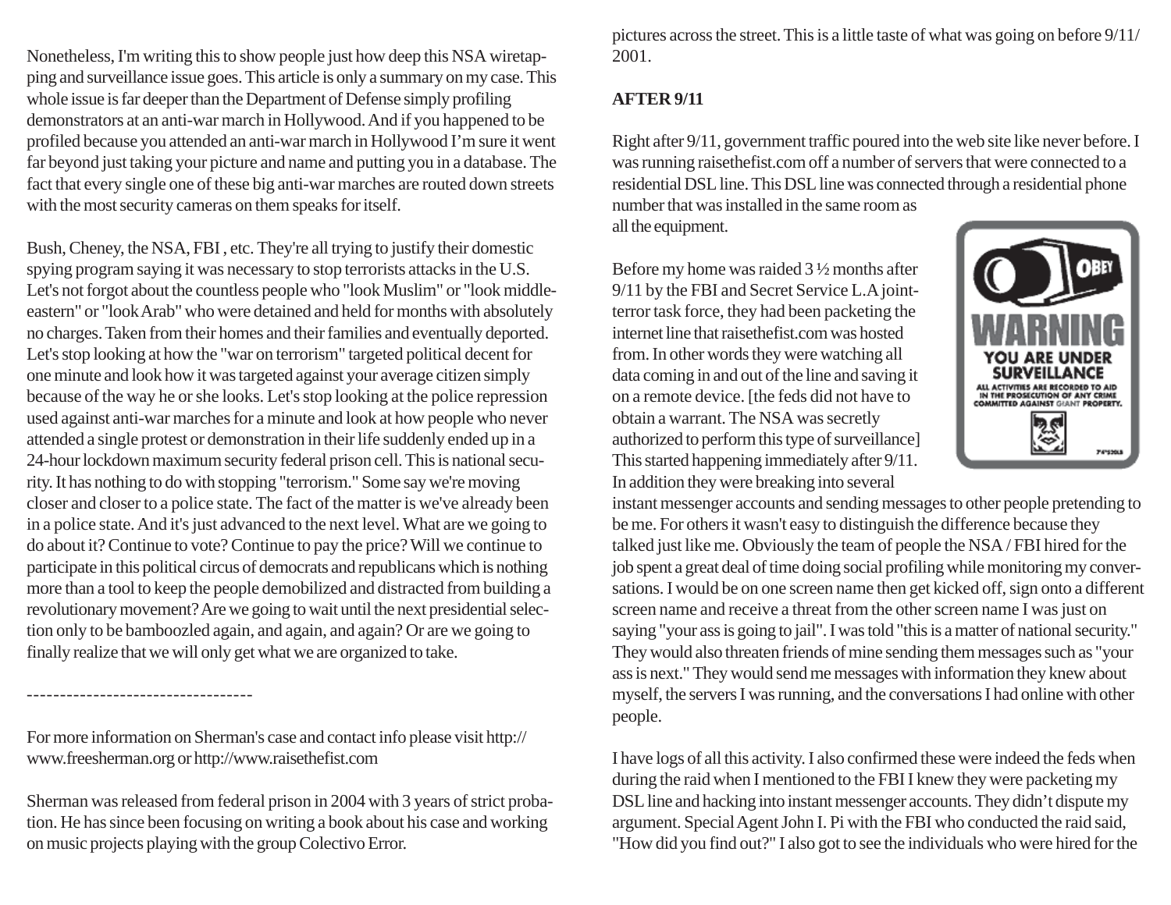Nonetheless, I'm writing this to show people just how deep this NSA wiretapping and surveillance issue goes. This article is only a summary on my case. This whole issue is far deeper than the Department of Defense simply profiling demonstrators at an anti-war march in Hollywood. And if you happened to be profiled because you attended an anti-war march in Hollywood I'm sure it went far beyond just taking your picture and name and putting you in a database. The fact that every single one of these big anti-war marches are routed down streets with the most security cameras on them speaks for itself.

Bush, Cheney, the NSA, FBI , etc. They're all trying to justify their domestic spying program saying it was necessary to stop terrorists attacks in the U.S. Let's not forgot about the countless people who "look Muslim" or "look middleeastern" or "look Arab" who were detained and held for months with absolutely no charges. Taken from their homes and their families and eventually deported. Let's stop looking at how the "war on terrorism" targeted political decent for one minute and look how it was targeted against your average citizen simply because of the way he or she looks. Let's stop looking at the police repression used against anti-war marches for a minute and look at how people who never attended a single protest or demonstration in their life suddenly ended up in a 24-hour lockdown maximum security federal prison cell. This is national security. It has nothing to do with stopping "terrorism." Some say we're moving closer and closer to a police state. The fact of the matter is we've already been in a police state. And it's just advanced to the next level. What are we going to do about it? Continue to vote? Continue to pay the price? Will we continue to participate in this political circus of democrats and republicans which is nothing more than a tool to keep the people demobilized and distracted from building a revolutionary movement? Are we going to wait until the next presidential selection only to be bamboozled again, and again, and again? Or are we going to finally realize that we will only get what we are organized to take.

For more information on Sherman's case and contact info please visit http:// www.freesherman.org or http://www.raisethefist.com

----------------------------------

Sherman was released from federal prison in 2004 with 3 years of strict probation. He has since been focusing on writing a book about his case and working on music projects playing with the group Colectivo Error.

pictures across the street. This is a little taste of what was going on before 9/11/ 2001.

## **AFTER 9/11**

Right after 9/11, government traffic poured into the web site like never before. I was running raisethefist.com off a number of servers that were connected to a residential DSL line. This DSL line was connected through a residential phone number that was installed in the same room as

all the equipment.

Before my home was raided 3 ½ months after 9/11 by the FBI and Secret Service L.A jointterror task force, they had been packeting the internet line that raisethefist.com was hosted from. In other words they were watching all data coming in and out of the line and saving it on a remote device. [the feds did not have to obtain a warrant. The NSA was secretly authorized to perform this type of surveillance] This started happening immediately after 9/11. In addition they were breaking into several

instant messenger accounts and sending messages to other people pretending to be me. For others it wasn't easy to distinguish the difference because they talked just like me. Obviously the team of people the NSA / FBI hired for the job spent a great deal of time doing social profiling while monitoring my conversations. I would be on one screen name then get kicked off, sign onto a different screen name and receive a threat from the other screen name I was just on saying "your ass is going to jail". I was told "this is a matter of national security." They would also threaten friends of mine sending them messages such as "your ass is next." They would send me messages with information they knew about myself, the servers I was running, and the conversations I had online with other people.

I have logs of all this activity. I also confirmed these were indeed the feds when during the raid when I mentioned to the FBI I knew they were packeting my DSL line and hacking into instant messenger accounts. They didn't dispute my argument. Special Agent John I. Pi with the FBI who conducted the raid said, "How did you find out?" I also got to see the individuals who were hired for the

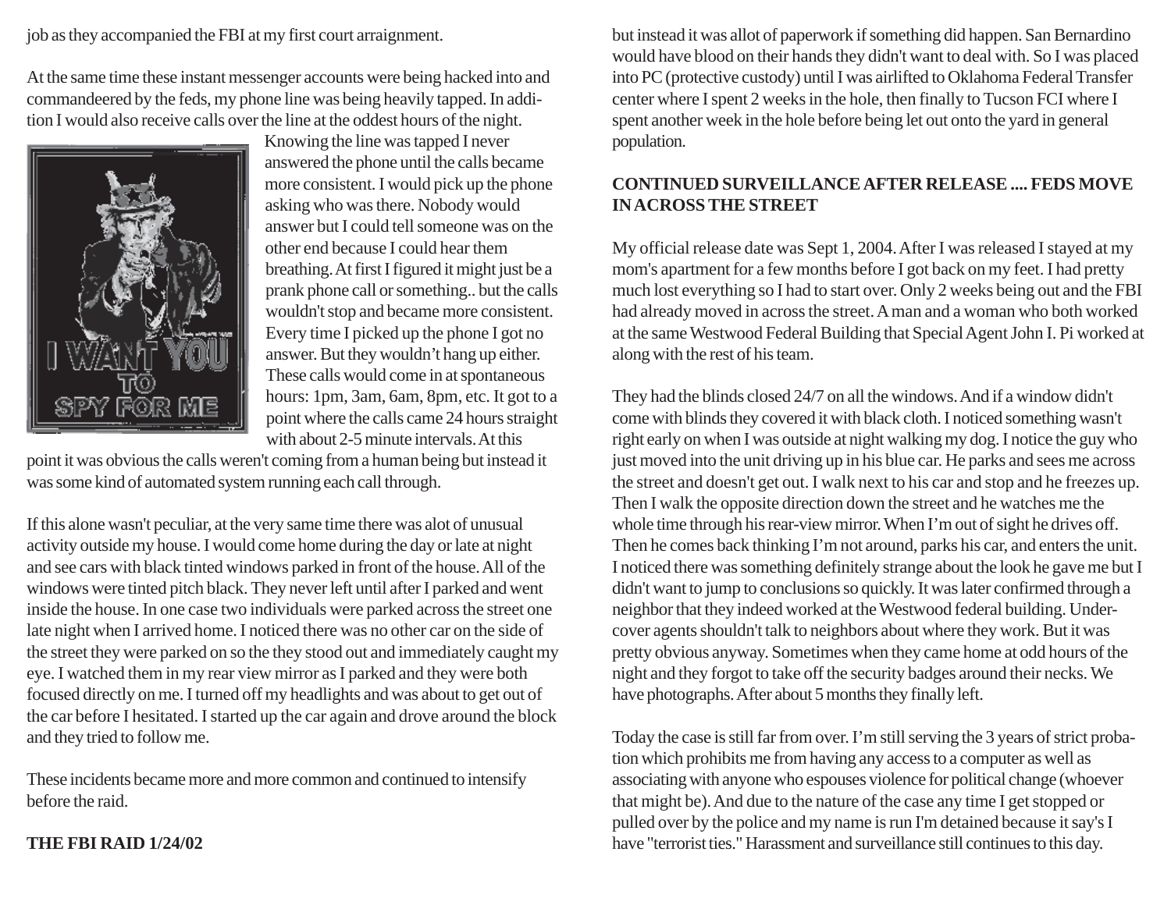job as they accompanied the FBI at my first court arraignment.

At the same time these instant messenger accounts were being hacked into and commandeered by the feds, my phone line was being heavily tapped. In addition I would also receive calls over the line at the oddest hours of the night.



Knowing the line was tapped I never answered the phone until the calls became more consistent. I would pick up the phone asking who was there. Nobody would answer but I could tell someone was on the other end because I could hear them breathing. At first I figured it might just be a prank phone call or something.. but the calls wouldn't stop and became more consistent. Every time I picked up the phone I got no answer. But they wouldn't hang up either. These calls would come in at spontaneous hours: 1pm, 3am, 6am, 8pm, etc. It got to a point where the calls came 24 hours straight with about 2-5 minute intervals. At this

point it was obvious the calls weren't coming from a human being but instead it was some kind of automated system running each call through.

If this alone wasn't peculiar, at the very same time there was alot of unusual activity outside my house. I would come home during the day or late at night and see cars with black tinted windows parked in front of the house. All of the windows were tinted pitch black. They never left until after I parked and went inside the house. In one case two individuals were parked across the street one late night when I arrived home. I noticed there was no other car on the side of the street they were parked on so the they stood out and immediately caught my eye. I watched them in my rear view mirror as I parked and they were both focused directly on me. I turned off my headlights and was about to get out of the car before I hesitated. I started up the car again and drove around the block and they tried to follow me.

These incidents became more and more common and continued to intensify before the raid.

#### **THE FBI RAID 1/24/02**

but instead it was allot of paperwork if something did happen. San Bernardino would have blood on their hands they didn't want to deal with. So I was placed into PC (protective custody) until I was airlifted to Oklahoma Federal Transfer center where I spent 2 weeks in the hole, then finally to Tucson FCI where I spent another week in the hole before being let out onto the yard in general population.

### **CONTINUED SURVEILLANCE AFTER RELEASE .... FEDS MOVE IN ACROSS THE STREET**

My official release date was Sept 1, 2004. After I was released I stayed at my mom's apartment for a few months before I got back on my feet. I had pretty much lost everything so I had to start over. Only 2 weeks being out and the FBI had already moved in across the street. A man and a woman who both worked at the same Westwood Federal Building that Special Agent John I. Pi worked at along with the rest of his team.

They had the blinds closed 24/7 on all the windows. And if a window didn't come with blinds they covered it with black cloth. I noticed something wasn't right early on when I was outside at night walking my dog. I notice the guy who just moved into the unit driving up in his blue car. He parks and sees me across the street and doesn't get out. I walk next to his car and stop and he freezes up. Then I walk the opposite direction down the street and he watches me the whole time through his rear-view mirror. When I'm out of sight he drives off. Then he comes back thinking I'm not around, parks his car, and enters the unit. I noticed there was something definitely strange about the look he gave me but I didn't want to jump to conclusions so quickly. It was later confirmed through a neighbor that they indeed worked at the Westwood federal building. Undercover agents shouldn't talk to neighbors about where they work. But it was pretty obvious anyway. Sometimes when they came home at odd hours of the night and they forgot to take off the security badges around their necks. We have photographs. After about 5 months they finally left.

Today the case is still far from over. I'm still serving the 3 years of strict probation which prohibits me from having any access to a computer as well as associating with anyone who espouses violence for political change (whoever that might be). And due to the nature of the case any time I get stopped or pulled over by the police and my name is run I'm detained because it say's I have "terrorist ties." Harassment and surveillance still continues to this day.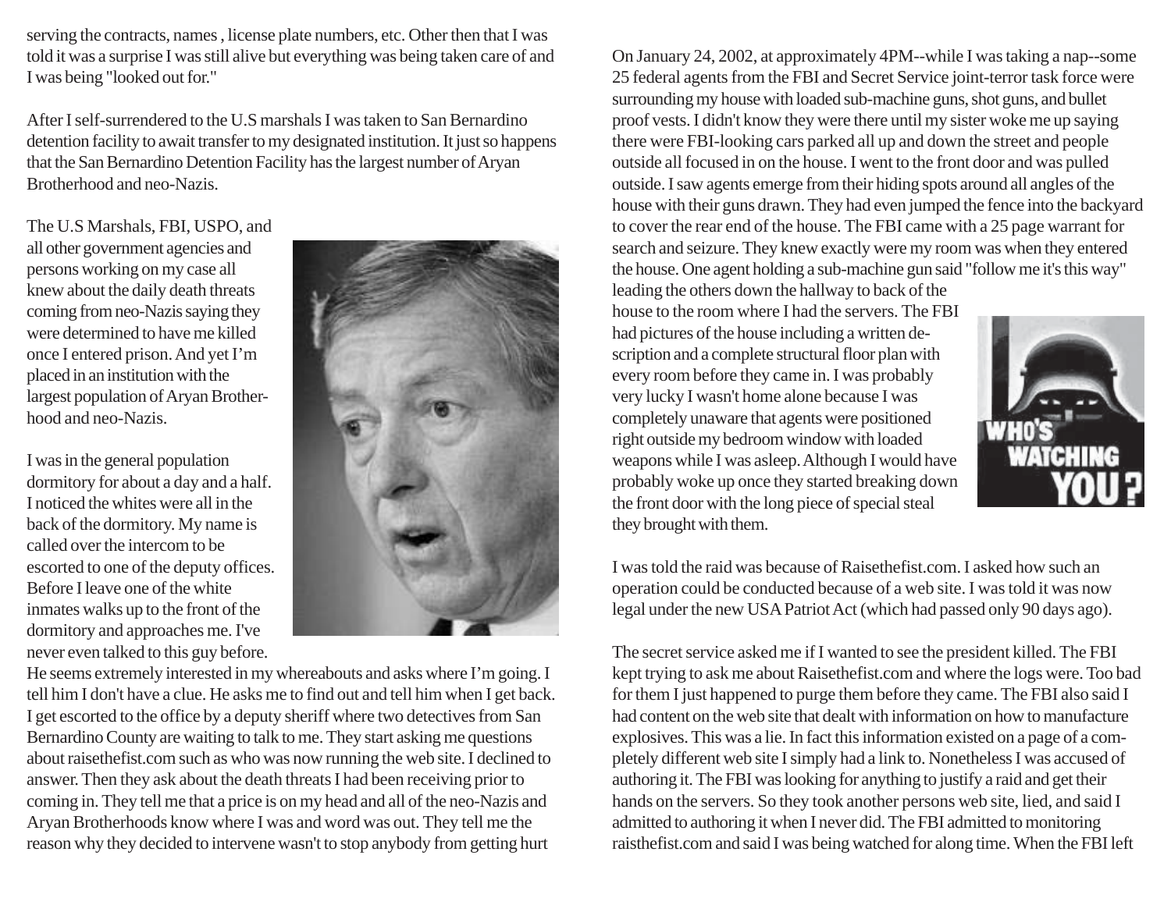serving the contracts, names , license plate numbers, etc. Other then that I was told it was a surprise I was still alive but everything was being taken care of and I was being "looked out for."

After I self-surrendered to the U.S marshals I was taken to San Bernardino detention facility to await transfer to my designated institution. It just so happens that the San Bernardino Detention Facility has the largest number of Aryan Brotherhood and neo-Nazis.

The U.S Marshals, FBI, USPO, and all other government agencies and persons working on my case all knew about the daily death threats coming from neo-Nazis saying they were determined to have me killed once I entered prison. And yet I'm placed in an institution with the largest population of Aryan Brotherhood and neo-Nazis.

I was in the general population dormitory for about a day and a half. I noticed the whites were all in the back of the dormitory. My name is called over the intercom to be escorted to one of the deputy offices. Before I leave one of the white inmates walks up to the front of the dormitory and approaches me. I've never even talked to this guy before.



He seems extremely interested in my whereabouts and asks where I'm going. I tell him I don't have a clue. He asks me to find out and tell him when I get back. I get escorted to the office by a deputy sheriff where two detectives from San Bernardino County are waiting to talk to me. They start asking me questions about raisethefist.com such as who was now running the web site. I declined to answer. Then they ask about the death threats I had been receiving prior to coming in. They tell me that a price is on my head and all of the neo-Nazis and Aryan Brotherhoods know where I was and word was out. They tell me the reason why they decided to intervene wasn't to stop anybody from getting hurt

On January 24, 2002, at approximately 4PM--while I was taking a nap--some 25 federal agents from the FBI and Secret Service joint-terror task force were surrounding my house with loaded sub-machine guns, shot guns, and bullet proof vests. I didn't know they were there until my sister woke me up saying there were FBI-looking cars parked all up and down the street and people outside all focused in on the house. I went to the front door and was pulled outside. I saw agents emerge from their hiding spots around all angles of the house with their guns drawn. They had even jumped the fence into the backyard to cover the rear end of the house. The FBI came with a 25 page warrant for search and seizure. They knew exactly were my room was when they entered the house. One agent holding a sub-machine gun said "follow me it's this way" leading the others down the hallway to back of the

house to the room where I had the servers. The FBI had pictures of the house including a written description and a complete structural floor plan with every room before they came in. I was probably very lucky I wasn't home alone because I was completely unaware that agents were positioned right outside my bedroom window with loaded weapons while I was asleep. Although I would have probably woke up once they started breaking down the front door with the long piece of special steal they brought with them.



I was told the raid was because of Raisethefist.com. I asked how such an operation could be conducted because of a web site. I was told it was now legal under the new USA Patriot Act (which had passed only 90 days ago).

The secret service asked me if I wanted to see the president killed. The FBI kept trying to ask me about Raisethefist.com and where the logs were. Too bad for them I just happened to purge them before they came. The FBI also said I had content on the web site that dealt with information on how to manufacture explosives. This was a lie. In fact this information existed on a page of a completely different web site I simply had a link to. Nonetheless I was accused of authoring it. The FBI was looking for anything to justify a raid and get their hands on the servers. So they took another persons web site, lied, and said I admitted to authoring it when I never did. The FBI admitted to monitoring raisthefist.com and said I was being watched for along time. When the FBI left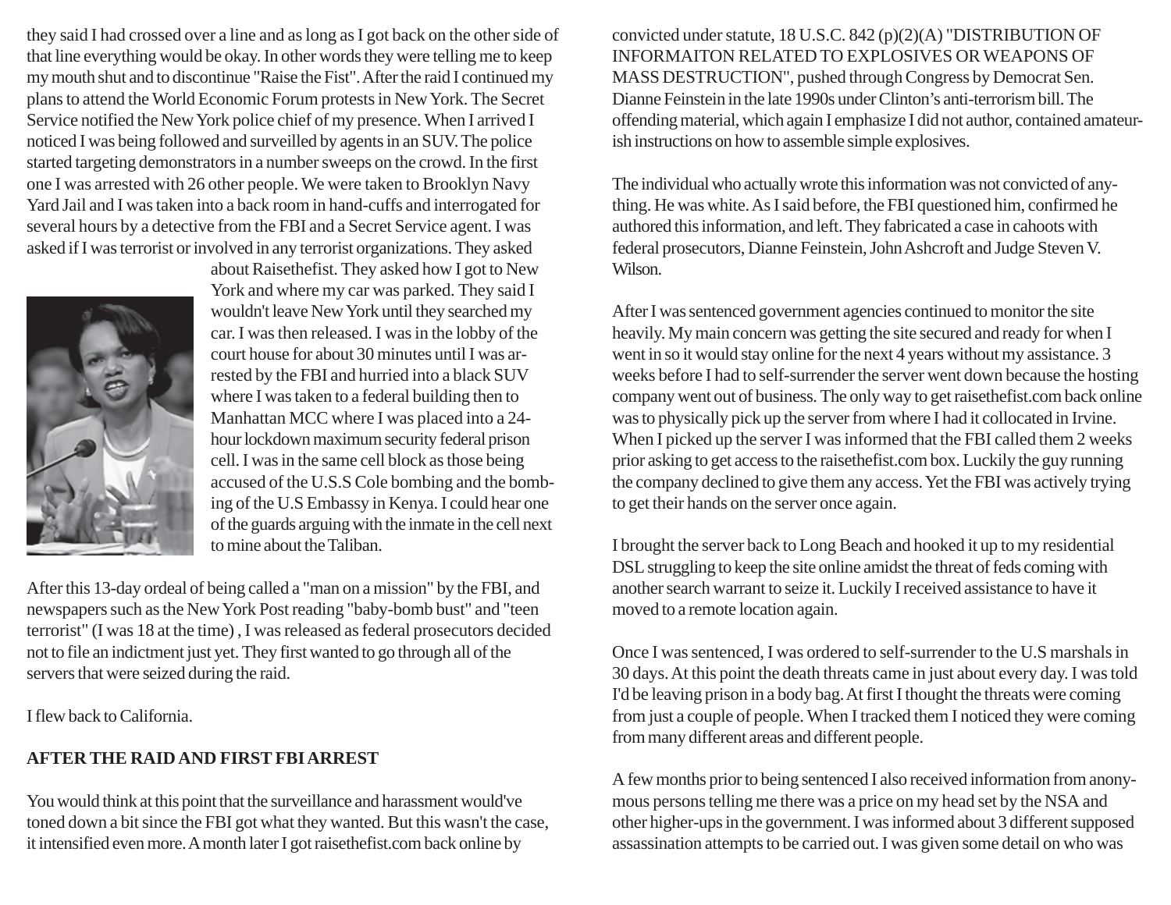they said I had crossed over a line and as long as I got back on the other side of that line everything would be okay. In other words they were telling me to keep my mouth shut and to discontinue "Raise the Fist". After the raid I continued my plans to attend the World Economic Forum protests in New York. The Secret Service notified the New York police chief of my presence. When I arrived I noticed I was being followed and surveilled by agents in an SUV. The police started targeting demonstrators in a number sweeps on the crowd. In the first one I was arrested with 26 other people. We were taken to Brooklyn Navy Yard Jail and I was taken into a back room in hand-cuffs and interrogated for several hours by a detective from the FBI and a Secret Service agent. I was asked if I was terrorist or involved in any terrorist organizations. They asked



about Raisethefist. They asked how I got to New York and where my car was parked. They said I wouldn't leave New York until they searched my car. I was then released. I was in the lobby of the court house for about 30 minutes until I was arrested by the FBI and hurried into a black SUV where I was taken to a federal building then to Manhattan MCC where I was placed into a 24 hour lockdown maximum security federal prison cell. I was in the same cell block as those being accused of the U.S.S Cole bombing and the bombing of the U.S Embassy in Kenya. I could hear one of the guards arguing with the inmate in the cell next to mine about the Taliban.

After this 13-day ordeal of being called a "man on a mission" by the FBI, and newspapers such as the New York Post reading "baby-bomb bust" and "teen terrorist" (I was 18 at the time) , I was released as federal prosecutors decided not to file an indictment just yet. They first wanted to go through all of the servers that were seized during the raid.

I flew back to California.

# **AFTER THE RAID AND FIRST FBI ARREST**

You would think at this point that the surveillance and harassment would've toned down a bit since the FBI got what they wanted. But this wasn't the case, it intensified even more. A month later I got raisethefist.com back online by

convicted under statute, 18 U.S.C. 842 (p)(2)(A) "DISTRIBUTION OF INFORMAITON RELATED TO EXPLOSIVES OR WEAPONS OF MASS DESTRUCTION", pushed through Congress by Democrat Sen. Dianne Feinstein in the late 1990s under Clinton's anti-terrorism bill. The offending material, which again I emphasize I did not author, contained amateurish instructions on how to assemble simple explosives.

The individual who actually wrote this information was not convicted of anything. He was white. As I said before, the FBI questioned him, confirmed he authored this information, and left. They fabricated a case in cahoots with federal prosecutors, Dianne Feinstein, John Ashcroft and Judge Steven V. Wilson.

After I was sentenced government agencies continued to monitor the site heavily. My main concern was getting the site secured and ready for when I went in so it would stay online for the next 4 years without my assistance. 3 weeks before I had to self-surrender the server went down because the hosting company went out of business. The only way to get raisethefist.com back online was to physically pick up the server from where I had it collocated in Irvine. When I picked up the server I was informed that the FBI called them 2 weeks prior asking to get access to the raisethefist.com box. Luckily the guy running the company declined to give them any access. Yet the FBI was actively trying to get their hands on the server once again.

I brought the server back to Long Beach and hooked it up to my residential DSL struggling to keep the site online amidst the threat of feds coming with another search warrant to seize it. Luckily I received assistance to have it moved to a remote location again.

Once I was sentenced, I was ordered to self-surrender to the U.S marshals in 30 days. At this point the death threats came in just about every day. I was told I'd be leaving prison in a body bag. At first I thought the threats were coming from just a couple of people. When I tracked them I noticed they were coming from many different areas and different people.

A few months prior to being sentenced I also received information from anonymous persons telling me there was a price on my head set by the NSA and other higher-ups in the government. I was informed about 3 different supposed assassination attempts to be carried out. I was given some detail on who was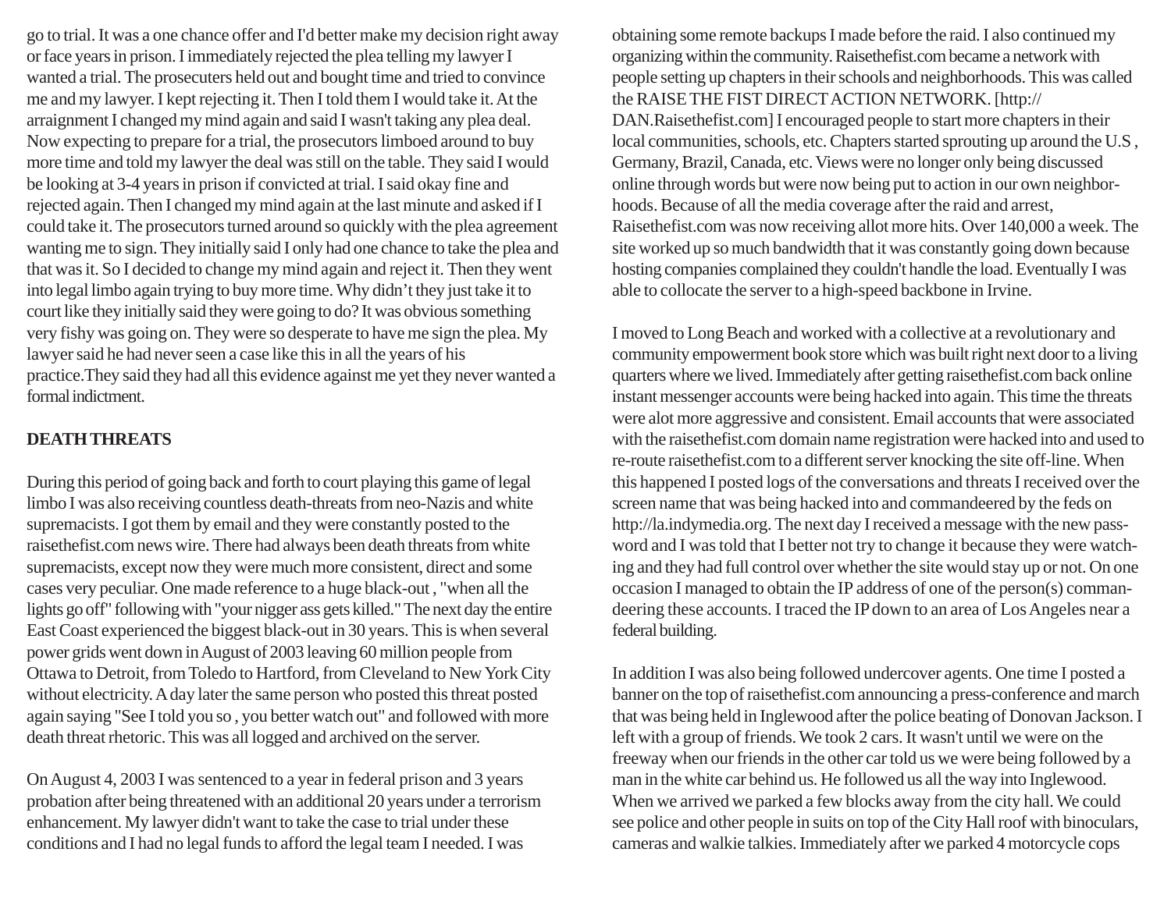go to trial. It was a one chance offer and I'd better make my decision right away or face years in prison. I immediately rejected the plea telling my lawyer I wanted a trial. The prosecuters held out and bought time and tried to convince me and my lawyer. I kept rejecting it. Then I told them I would take it. At the arraignment I changed my mind again and said I wasn't taking any plea deal. Now expecting to prepare for a trial, the prosecutors limboed around to buy more time and told my lawyer the deal was still on the table. They said I would be looking at 3-4 years in prison if convicted at trial. I said okay fine and rejected again. Then I changed my mind again at the last minute and asked if I could take it. The prosecutors turned around so quickly with the plea agreement wanting me to sign. They initially said I only had one chance to take the plea and that was it. So I decided to change my mind again and reject it. Then they went into legal limbo again trying to buy more time. Why didn't they just take it to court like they initially said they were going to do? It was obvious something very fishy was going on. They were so desperate to have me sign the plea. My lawyer said he had never seen a case like this in all the years of his practice.They said they had all this evidence against me yet they never wanted a formal indictment.

#### **DEATH THREATS**

During this period of going back and forth to court playing this game of legal limbo I was also receiving countless death-threats from neo-Nazis and white supremacists. I got them by email and they were constantly posted to the raisethefist.com news wire. There had always been death threats from white supremacists, except now they were much more consistent, direct and some cases very peculiar. One made reference to a huge black-out , "when all the lights go off" following with "your nigger ass gets killed." The next day the entire East Coast experienced the biggest black-out in 30 years. This is when several power grids went down in August of 2003 leaving 60 million people from Ottawa to Detroit, from Toledo to Hartford, from Cleveland to New York City without electricity. A day later the same person who posted this threat posted again saying "See I told you so , you better watch out" and followed with more death threat rhetoric. This was all logged and archived on the server.

On August 4, 2003 I was sentenced to a year in federal prison and 3 years probation after being threatened with an additional 20 years under a terrorism enhancement. My lawyer didn't want to take the case to trial under these conditions and I had no legal funds to afford the legal team I needed. I was

obtaining some remote backups I made before the raid. I also continued my organizing within the community. Raisethefist.com became a network with people setting up chapters in their schools and neighborhoods. This was called the RAISE THE FIST DIRECT ACTION NETWORK. [http:// DAN.Raisethefist.com] I encouraged people to start more chapters in their local communities, schools, etc. Chapters started sprouting up around the U.S , Germany, Brazil, Canada, etc. Views were no longer only being discussed online through words but were now being put to action in our own neighborhoods. Because of all the media coverage after the raid and arrest, Raisethefist.com was now receiving allot more hits. Over 140,000 a week. The site worked up so much bandwidth that it was constantly going down because hosting companies complained they couldn't handle the load. Eventually I was able to collocate the server to a high-speed backbone in Irvine.

I moved to Long Beach and worked with a collective at a revolutionary and community empowerment book store which was built right next door to a living quarters where we lived. Immediately after getting raisethefist.com back online instant messenger accounts were being hacked into again. This time the threats were alot more aggressive and consistent. Email accounts that were associated with the raisethefist.com domain name registration were hacked into and used to re-route raisethefist.com to a different server knocking the site off-line. When this happened I posted logs of the conversations and threats I received over the screen name that was being hacked into and commandeered by the feds on http://la.indymedia.org. The next day I received a message with the new password and I was told that I better not try to change it because they were watching and they had full control over whether the site would stay up or not. On one occasion I managed to obtain the IP address of one of the person(s) commandeering these accounts. I traced the IP down to an area of Los Angeles near a federal building.

In addition I was also being followed undercover agents. One time I posted a banner on the top of raisethefist.com announcing a press-conference and march that was being held in Inglewood after the police beating of Donovan Jackson. I left with a group of friends. We took 2 cars. It wasn't until we were on the freeway when our friends in the other car told us we were being followed by a man in the white car behind us. He followed us all the way into Inglewood. When we arrived we parked a few blocks away from the city hall. We could see police and other people in suits on top of the City Hall roof with binoculars, cameras and walkie talkies. Immediately after we parked 4 motorcycle cops